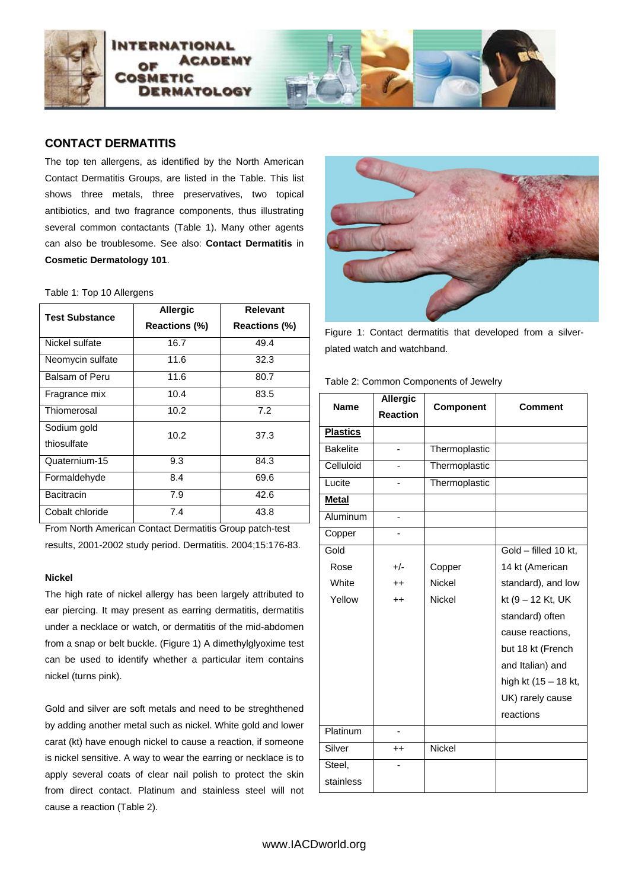

# **CONTACT DERMATITIS**

The top ten allergens, as identified by the North American Contact Dermatitis Groups, are listed in the Table. This list shows three metals, three preservatives, two topical antibiotics, and two fragrance components, thus illustrating several common contactants (Table 1). Many other agents can also be troublesome. See also: **Contact Dermatitis** in **Cosmetic Dermatology 101**.

# Table 1: Top 10 Allergens

| <b>Test Substance</b> | <b>Allergic</b>      | Relevant             |
|-----------------------|----------------------|----------------------|
|                       | <b>Reactions (%)</b> | <b>Reactions (%)</b> |
| Nickel sulfate        | 16.7                 | 49.4                 |
| Neomycin sulfate      | 11.6                 | 32.3                 |
| Balsam of Peru        | 11.6                 | 80.7                 |
| Fragrance mix         | 10.4                 | 83.5                 |
| Thiomerosal           | 10.2                 | 7.2                  |
| Sodium gold           | 10.2                 | 37.3                 |
| thiosulfate           |                      |                      |
| Quaternium-15         | 9.3                  | 84.3                 |
| Formaldehyde          | 8.4                  | 69.6                 |
| <b>Bacitracin</b>     | 7.9                  | 42.6                 |
| Cobalt chloride       | 7.4                  | 43.8                 |

From North American Contact Dermatitis Group patch-test results, 2001-2002 study period. Dermatitis. 2004;15:176-83.

# **Nickel**

The high rate of nickel allergy has been largely attributed to ear piercing. It may present as earring dermatitis, dermatitis under a necklace or watch, or dermatitis of the mid-abdomen from a snap or belt buckle. (Figure 1) A dimethylglyoxime test can be used to identify whether a particular item contains nickel (turns pink).

Gold and silver are soft metals and need to be streghthened by adding another metal such as nickel. White gold and lower carat (kt) have enough nickel to cause a reaction, if someone is nickel sensitive. A way to wear the earring or necklace is to apply several coats of clear nail polish to protect the skin from direct contact. Platinum and stainless steel will not cause a reaction (Table 2).



Figure 1: Contact dermatitis that developed from a silverplated watch and watchband.

| <b>Name</b>     | <b>Allergic</b> | <b>Component</b> | <b>Comment</b>       |
|-----------------|-----------------|------------------|----------------------|
|                 | <b>Reaction</b> |                  |                      |
| <b>Plastics</b> |                 |                  |                      |
| <b>Bakelite</b> | ä,              | Thermoplastic    |                      |
| Celluloid       |                 | Thermoplastic    |                      |
| Lucite          |                 | Thermoplastic    |                      |
| <b>Metal</b>    |                 |                  |                      |
| Aluminum        |                 |                  |                      |
| Copper          | $\blacksquare$  |                  |                      |
| Gold            |                 |                  | Gold - filled 10 kt, |
| Rose            | $+/-$           | Copper           | 14 kt (American      |
| White           | $^{\mathrm{+}}$ | <b>Nickel</b>    | standard), and low   |
| Yellow          | $++$            | <b>Nickel</b>    | kt (9 – 12 Kt, UK    |
|                 |                 |                  | standard) often      |
|                 |                 |                  | cause reactions,     |
|                 |                 |                  | but 18 kt (French    |
|                 |                 |                  | and Italian) and     |
|                 |                 |                  | high kt (15 - 18 kt, |
|                 |                 |                  | UK) rarely cause     |
|                 |                 |                  | reactions            |
| Platinum        |                 |                  |                      |
| Silver          | $^{\mathrm{+}}$ | Nickel           |                      |
| Steel,          |                 |                  |                      |
| stainless       |                 |                  |                      |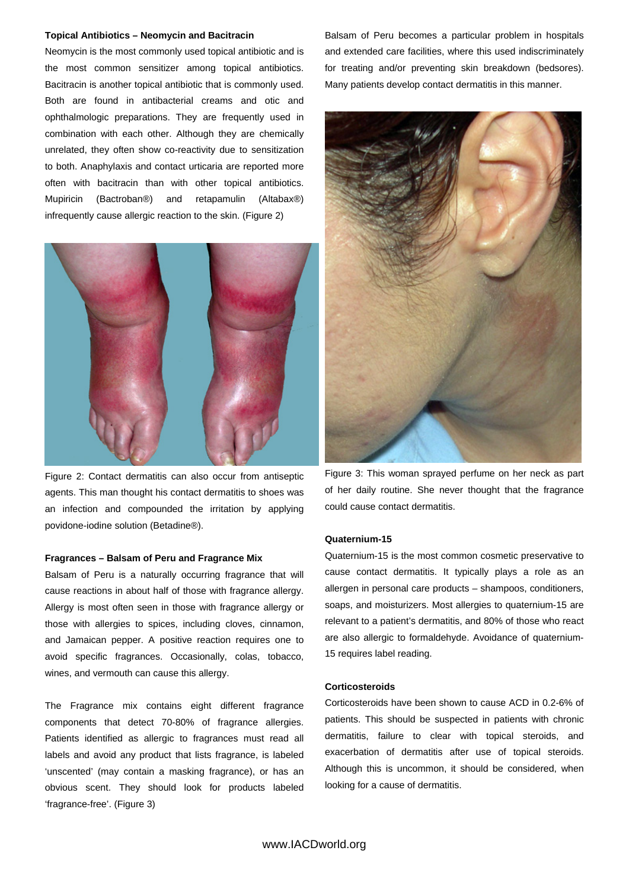# **Topical Antibiotics – Neomycin and Bacitracin**

Neomycin is the most commonly used topical antibiotic and is the most common sensitizer among topical antibiotics. Bacitracin is another topical antibiotic that is commonly used. Both are found in antibacterial creams and otic and ophthalmologic preparations. They are frequently used in combination with each other. Although they are chemically unrelated, they often show co-reactivity due to sensitization to both. Anaphylaxis and contact urticaria are reported more often with bacitracin than with other topical antibiotics. Mupiricin (Bactroban®) and retapamulin (Altabax®) infrequently cause allergic reaction to the skin. (Figure 2)



Figure 2: Contact dermatitis can also occur from antiseptic agents. This man thought his contact dermatitis to shoes was an infection and compounded the irritation by applying povidone-iodine solution (Betadine®).

#### **Fragrances – Balsam of Peru and Fragrance Mix**

Balsam of Peru is a naturally occurring fragrance that will cause reactions in about half of those with fragrance allergy. Allergy is most often seen in those with fragrance allergy or those with allergies to spices, including cloves, cinnamon, and Jamaican pepper. A positive reaction requires one to avoid specific fragrances. Occasionally, colas, tobacco, wines, and vermouth can cause this allergy.

The Fragrance mix contains eight different fragrance components that detect 70-80% of fragrance allergies. Patients identified as allergic to fragrances must read all labels and avoid any product that lists fragrance, is labeled 'unscented' (may contain a masking fragrance), or has an obvious scent. They should look for products labeled 'fragrance-free'. (Figure 3)

Balsam of Peru becomes a particular problem in hospitals and extended care facilities, where this used indiscriminately for treating and/or preventing skin breakdown (bedsores). Many patients develop contact dermatitis in this manner.



Figure 3: This woman sprayed perfume on her neck as part of her daily routine. She never thought that the fragrance could cause contact dermatitis.

### **Quaternium-15**

Quaternium-15 is the most common cosmetic preservative to cause contact dermatitis. It typically plays a role as an allergen in personal care products – shampoos, conditioners, soaps, and moisturizers. Most allergies to quaternium-15 are relevant to a patient's dermatitis, and 80% of those who react are also allergic to formaldehyde. Avoidance of quaternium-15 requires label reading.

### **Corticosteroids**

Corticosteroids have been shown to cause ACD in 0.2-6% of patients. This should be suspected in patients with chronic dermatitis, failure to clear with topical steroids, and exacerbation of dermatitis after use of topical steroids. Although this is uncommon, it should be considered, when looking for a cause of dermatitis.